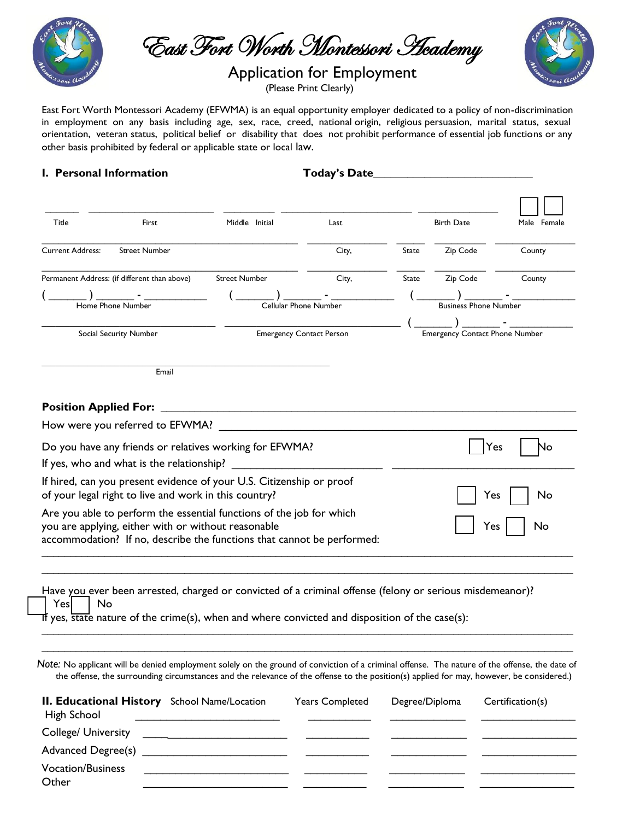

East Fort Worth Montessori Academy

## Application for Employment

(Please Print Clearly)



East Fort Worth Montessori Academy (EFWMA) is an equal opportunity employer dedicated to a policy of non-discrimination in employment on any basis including age, sex, race, creed, national origin, religious persuasion, marital status, sexual orientation, veteran status, political belief or disability that does not prohibit performance of essential job functions or any other basis prohibited by federal or applicable state or local law.

### **I. Personal Information**  Today's Date

| Title                        | First                                                                                                                         | Middle Initial        | Last                                  |       | <b>Birth Date</b>            | Male Female |
|------------------------------|-------------------------------------------------------------------------------------------------------------------------------|-----------------------|---------------------------------------|-------|------------------------------|-------------|
|                              |                                                                                                                               |                       |                                       |       |                              |             |
| <b>Current Address:</b>      | <b>Street Number</b>                                                                                                          |                       | City,                                 | State | Zip Code                     | County      |
|                              | Permanent Address: (if different than above)                                                                                  | <b>Street Number</b>  | City,                                 | State | Zip Code                     | County      |
|                              |                                                                                                                               |                       |                                       |       |                              |             |
|                              | Home Phone Number                                                                                                             | Cellular Phone Number |                                       |       | <b>Business Phone Number</b> |             |
|                              |                                                                                                                               |                       |                                       |       |                              |             |
|                              | <b>Emergency Contact Person</b><br>Social Security Number                                                                     |                       | <b>Emergency Contact Phone Number</b> |       |                              |             |
|                              | Email                                                                                                                         |                       |                                       |       |                              |             |
|                              |                                                                                                                               |                       |                                       |       |                              |             |
|                              | How were you referred to EFWMA?                                                                                               |                       |                                       |       |                              | N٥          |
| <b>Position Applied For:</b> | Do you have any friends or relatives working for EFWMA?<br>If yes, who and what is the relationship?                          |                       |                                       |       | Yes                          |             |
|                              | If hired, can you present evidence of your U.S. Citizenship or proof<br>of your legal right to live and work in this country? |                       |                                       |       | Yes                          | No          |

ver been arrested, charged or convicted of a criminal offense (felony or serious misdemeanor)? Yes | No

If yes, state nature of the crime(s), when and where convicted and disposition of the case(s):

*Note:* No applicant will be denied employment solely on the ground of conviction of a criminal offense. The nature of the offense, the date of the offense, the surrounding circumstances and the relevance of the offense to the position(s) applied for may, however, be considered.)

\_\_\_\_\_\_\_\_\_\_\_\_\_\_\_\_\_\_\_\_\_\_\_\_\_\_\_\_\_\_\_\_\_\_\_\_\_\_\_\_\_\_\_\_\_\_\_\_\_\_\_\_\_\_\_\_\_\_\_\_\_\_\_\_\_\_\_\_\_\_\_\_\_\_\_\_\_\_\_\_\_\_\_\_\_\_\_\_\_\_\_\_\_

| <b>II. Educational History</b> School Name/Location<br>High School | <b>Years Completed</b> | Degree/Diploma | Certification(s) |
|--------------------------------------------------------------------|------------------------|----------------|------------------|
| <b>College/ University</b>                                         |                        |                |                  |
| Advanced Degree(s)                                                 |                        |                |                  |
| <b>Vocation/Business</b><br>Other                                  |                        |                |                  |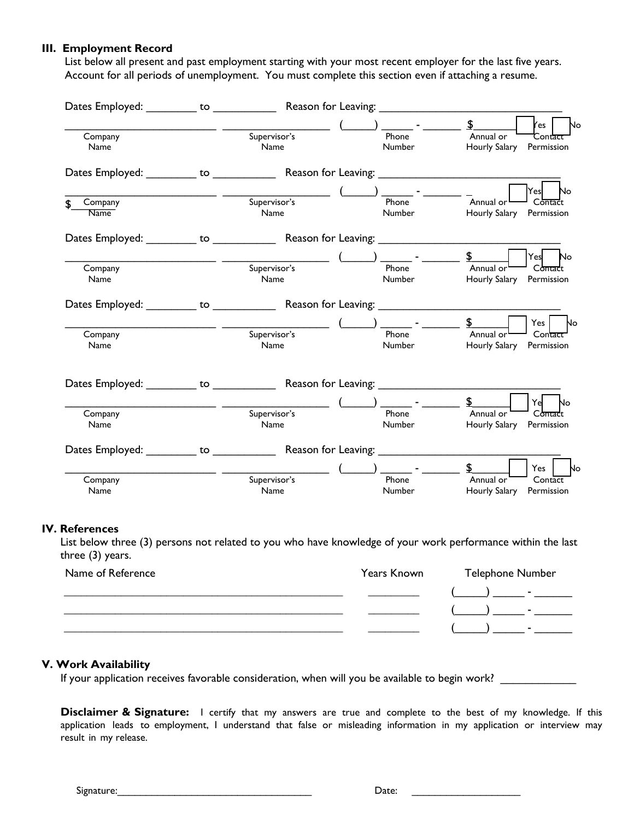#### **III. Employment Record**

List below all present and past employment starting with your most recent employer for the last five years. Account for all periods of unemployment. You must complete this section even if attaching a resume.

| Dates Employed:                                     |              |        |                   |                      |
|-----------------------------------------------------|--------------|--------|-------------------|----------------------|
|                                                     |              |        |                   | <b>Yes</b><br>No     |
| Company                                             | Supervisor's | Phone  | Annual or         | Cont <del>act</del>  |
| Name                                                | Name         | Number | Hourly Salary     | Permission           |
|                                                     |              |        |                   |                      |
|                                                     |              |        |                   | No<br>$\mathsf{Yes}$ |
| Company                                             | Supervisor's | Phone  | Annual or         | Contact              |
| Name                                                | Name         | Number | Hourly Salary     | Permission           |
|                                                     |              |        |                   |                      |
|                                                     |              |        | $\mathbf{\Sigma}$ | Yes<br>No            |
| Company                                             | Supervisor's | Phone  | Annual or         | Contact              |
| Name                                                | Name         | Number | Hourly Salary     | Permission           |
| Dates Employed: The Contract of Reason for Leaving: |              |        |                   |                      |
|                                                     |              |        | \$                | $Yes$ $\vert$<br>No  |
| Company                                             | Supervisor's | Phone  | Annual or         | Contact              |
| Name                                                | Name         | Number | Hourly Salary     | Permission           |
|                                                     |              |        |                   |                      |
|                                                     |              |        |                   | Yel<br>No            |
| Company                                             | Supervisor's | Phone  | Annual or         | Contact              |
| Name                                                | Name         | Number | Hourly Salary     | Permission           |
|                                                     |              |        |                   |                      |
|                                                     |              |        |                   | Yes  <br>No          |
| Company                                             | Supervisor's | Phone  | Annual or         | Contact              |
| Name                                                | Name         | Number | Hourly Salary     | Permission           |
|                                                     |              |        |                   |                      |

#### **IV. References**

List below three (3) persons not related to you who have knowledge of your work performance within the last three (3) years.

| Name of Reference | Years Known | Telephone Number                 |
|-------------------|-------------|----------------------------------|
|                   |             | <b>Service Contract Contract</b> |
|                   |             | <b>COLLEGE</b>                   |
|                   |             |                                  |

#### **V. Work Availability**

If your application receives favorable consideration, when will you be available to begin work? \_\_\_\_\_\_\_\_\_\_\_\_\_

**Disclaimer & Signature:** I certify that my answers are true and complete to the best of my knowledge. If this application leads to employment, I understand that false or misleading information in my application or interview may result in my release.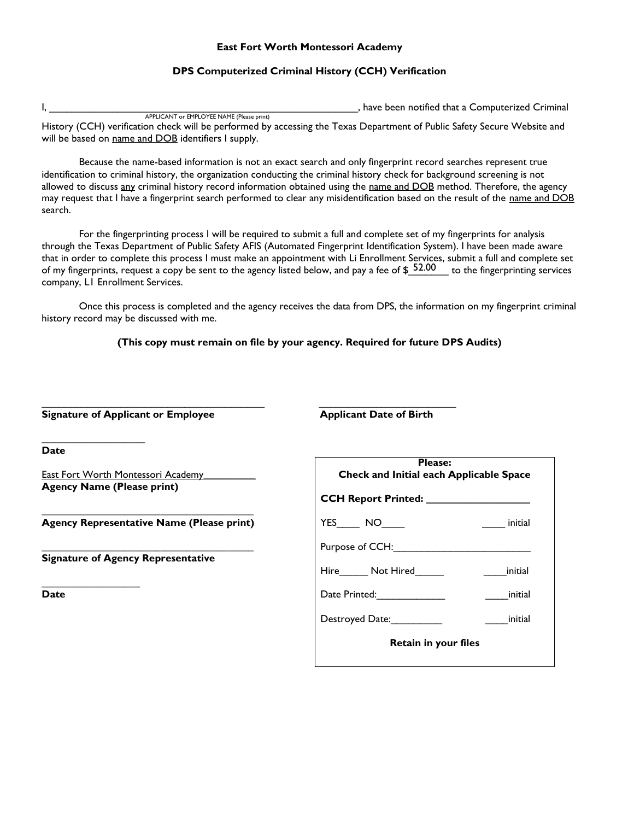#### **East Fort Worth Montessori Academy**

#### **DPS Computerized Criminal History (CCH) Verification**

I, The computerized Criminal intervals are the computerized Criminal intervals and  $\mathbf{I}$ ,  $\mathbf{I}$ ,  $\mathbf{I}$ ,  $\mathbf{I}$ ,  $\mathbf{I}$ ,  $\mathbf{I}$ ,  $\mathbf{I}$ ,  $\mathbf{I}$ ,  $\mathbf{I}$ ,  $\mathbf{I}$ ,  $\mathbf{I}$ ,  $\mathbf{I}$ ,  $\mathbf{I}$ ,  $\mathbf{I}$ , APPLICANT or EMPLOYEE NAME (Please print) History (CCH) verification check will be performed by accessing the Texas Department of Public Safety Secure Website and will be based on name and DOB identifiers I supply.

Because the name-based information is not an exact search and only fingerprint record searches represent true identification to criminal history, the organization conducting the criminal history check for background screening is not allowed to discuss any criminal history record information obtained using the name and DOB method. Therefore, the agency may request that I have a fingerprint search performed to clear any misidentification based on the result of the name and DOB search.

For the fingerprinting process I will be required to submit a full and complete set of my fingerprints for analysis through the Texas Department of Public Safety AFIS (Automated Fingerprint Identification System). I have been made aware that in order to complete this process I must make an appointment with Li Enrollment Services, submit a full and complete set of my fingerprints, request a copy be sent to the agency listed below, and pay a fee of  $$^{52.00}_{-}$$  to the fingerprinting services company, L1 Enrollment Services.

Once this process is completed and the agency receives the data from DPS, the information on my fingerprint criminal history record may be discussed with me.

**(This copy must remain on file by your agency. Required for future DPS Audits)** 

| Signature of Applicant or Employee                                                    | <b>Applicant Date of Birth</b>                                                                                                                                                                                                            |
|---------------------------------------------------------------------------------------|-------------------------------------------------------------------------------------------------------------------------------------------------------------------------------------------------------------------------------------------|
| <b>Date</b>                                                                           | <b>Please:</b>                                                                                                                                                                                                                            |
| <u>East Fort Worth Montessori Academy ______</u><br><b>Agency Name (Please print)</b> | Check and Initial each Applicable Space                                                                                                                                                                                                   |
| Agency Representative Name (Please print)                                             | YES NO<br>initial                                                                                                                                                                                                                         |
| <b>Signature of Agency Representative</b>                                             | Purpose of CCH:<br>Hire Not Hired<br>initial                                                                                                                                                                                              |
| Date                                                                                  | Date Printed: Note that the print of the print of the print of the print of the print of the print of the print of the print of the print of the print of the print of the print of the print of the print of the print of the<br>initial |
|                                                                                       | Destroyed Date:<br>initial                                                                                                                                                                                                                |
|                                                                                       | Retain in your files                                                                                                                                                                                                                      |